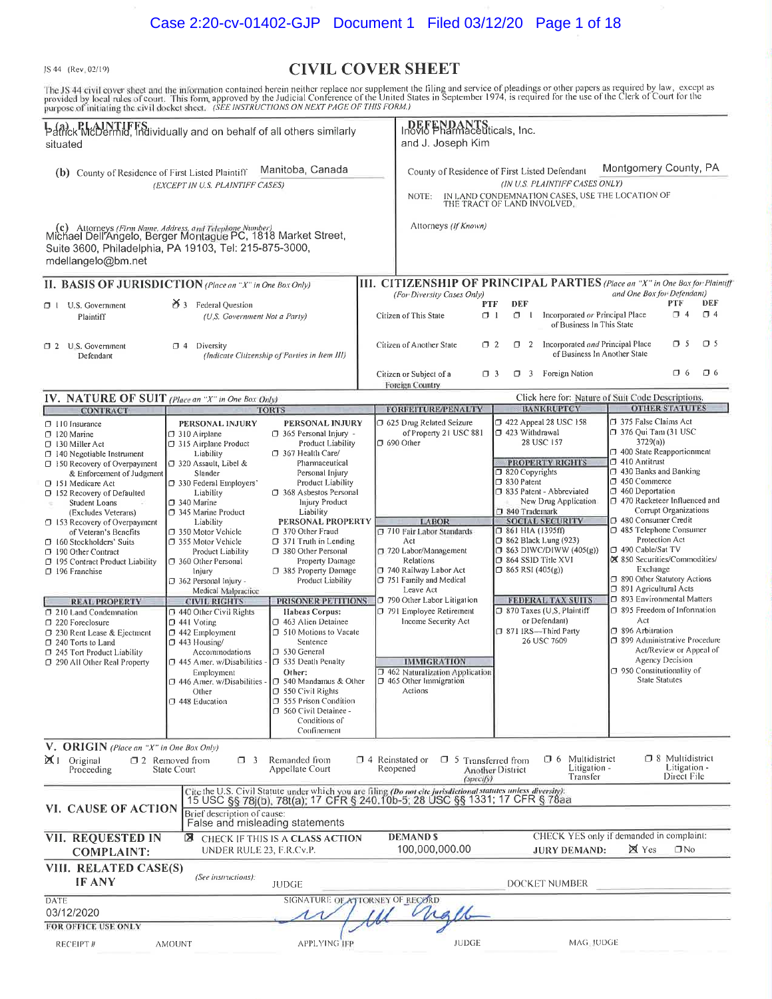JS 44 (Rev. 02/19)

# **CIVIL COVER SHEET**

The JS 44 civil cover sheet and the information contained herein neither replace nor supplement the filing and service of pleadings or other papers as required by law, except as provided by local rules of court. This form,

| banck McDermid, individually and on behalf of all others similarly<br>situated                                                                                                                                                                                                                                                                                                                                                                                                                                                                                                                                                           |                                                                                                                                                                                                                                                                                                                                                                                                                                                                                                                                                                                                                                                    |                                                                                                                                                                                                                                                                                                                                                                                                                                                                                                                                                                                                                                       | DEFENDANTS<br>Inovio Pharmaceuticals, Inc.<br>and J. Joseph Kim |                                                                                                                                                                                                                                                                                                                                                                                                                                      |                      |                                                                                                                           |                                                                                                                                                                                                                                                                                                                                                                |                                                                                                                                                                                                                                                                                                                                                                                                                                                                                                                                                                                                                            |                                                                     |                 |
|------------------------------------------------------------------------------------------------------------------------------------------------------------------------------------------------------------------------------------------------------------------------------------------------------------------------------------------------------------------------------------------------------------------------------------------------------------------------------------------------------------------------------------------------------------------------------------------------------------------------------------------|----------------------------------------------------------------------------------------------------------------------------------------------------------------------------------------------------------------------------------------------------------------------------------------------------------------------------------------------------------------------------------------------------------------------------------------------------------------------------------------------------------------------------------------------------------------------------------------------------------------------------------------------------|---------------------------------------------------------------------------------------------------------------------------------------------------------------------------------------------------------------------------------------------------------------------------------------------------------------------------------------------------------------------------------------------------------------------------------------------------------------------------------------------------------------------------------------------------------------------------------------------------------------------------------------|-----------------------------------------------------------------|--------------------------------------------------------------------------------------------------------------------------------------------------------------------------------------------------------------------------------------------------------------------------------------------------------------------------------------------------------------------------------------------------------------------------------------|----------------------|---------------------------------------------------------------------------------------------------------------------------|----------------------------------------------------------------------------------------------------------------------------------------------------------------------------------------------------------------------------------------------------------------------------------------------------------------------------------------------------------------|----------------------------------------------------------------------------------------------------------------------------------------------------------------------------------------------------------------------------------------------------------------------------------------------------------------------------------------------------------------------------------------------------------------------------------------------------------------------------------------------------------------------------------------------------------------------------------------------------------------------------|---------------------------------------------------------------------|-----------------|
| Manitoba, Canada<br>(b) County of Residence of First Listed Plaintiff<br>(EXCEPT IN U.S. PLAINTIFF CASES)<br>(c) Attorneys (Firm Name, Address, and Telephone Number)<br>Michael Dell'Angelo, Berger Montague PC, 1818 Market Street,                                                                                                                                                                                                                                                                                                                                                                                                    |                                                                                                                                                                                                                                                                                                                                                                                                                                                                                                                                                                                                                                                    |                                                                                                                                                                                                                                                                                                                                                                                                                                                                                                                                                                                                                                       |                                                                 | Montgomery County, PA<br>County of Residence of First Listed Defendant<br>(IN U.S. PLAINTIFF CASES ONLY)<br>IN LAND CONDEMNATION CASES, USE THE LOCATION OF<br>NOTE:<br>THE TRACT OF LAND INVOLVED.<br>Attorneys (If Known)                                                                                                                                                                                                          |                      |                                                                                                                           |                                                                                                                                                                                                                                                                                                                                                                |                                                                                                                                                                                                                                                                                                                                                                                                                                                                                                                                                                                                                            |                                                                     |                 |
| Suite 3600, Philadelphia, PA 19103, Tel: 215-875-3000,<br>mdellangelo@bm.net                                                                                                                                                                                                                                                                                                                                                                                                                                                                                                                                                             |                                                                                                                                                                                                                                                                                                                                                                                                                                                                                                                                                                                                                                                    |                                                                                                                                                                                                                                                                                                                                                                                                                                                                                                                                                                                                                                       |                                                                 |                                                                                                                                                                                                                                                                                                                                                                                                                                      |                      |                                                                                                                           |                                                                                                                                                                                                                                                                                                                                                                |                                                                                                                                                                                                                                                                                                                                                                                                                                                                                                                                                                                                                            |                                                                     |                 |
| II. BASIS OF JURISDICTION (Place an "X" in One Box Only)                                                                                                                                                                                                                                                                                                                                                                                                                                                                                                                                                                                 |                                                                                                                                                                                                                                                                                                                                                                                                                                                                                                                                                                                                                                                    |                                                                                                                                                                                                                                                                                                                                                                                                                                                                                                                                                                                                                                       |                                                                 | <b>III. CITIZENSHIP OF PRINCIPAL PARTIES</b> (Place an "X" in One Box for Plaintiff                                                                                                                                                                                                                                                                                                                                                  |                      |                                                                                                                           |                                                                                                                                                                                                                                                                                                                                                                |                                                                                                                                                                                                                                                                                                                                                                                                                                                                                                                                                                                                                            |                                                                     |                 |
| $\Box$ 1 U.S. Government<br>Plaintiff                                                                                                                                                                                                                                                                                                                                                                                                                                                                                                                                                                                                    | $\mathbf{A}$ 3 Federal Question<br>(U.S. Government Not a Party)                                                                                                                                                                                                                                                                                                                                                                                                                                                                                                                                                                                   |                                                                                                                                                                                                                                                                                                                                                                                                                                                                                                                                                                                                                                       |                                                                 | (For Diversity Cases Only)<br>Citizen of This State                                                                                                                                                                                                                                                                                                                                                                                  | <b>PTF</b><br>$\Box$ | DEF                                                                                                                       | $\Box$ I Incorporated or Principal Place<br>of Business In This State                                                                                                                                                                                                                                                                                          | and One Box for Defendant)                                                                                                                                                                                                                                                                                                                                                                                                                                                                                                                                                                                                 | PTF<br>$\Box$ 4                                                     | DEF<br>$\Box$ 4 |
| 2 U.S. Government<br>Defendant                                                                                                                                                                                                                                                                                                                                                                                                                                                                                                                                                                                                           | $\Box$ 4 Diversity<br>(Indicate Citizenship of Parties in Item III)                                                                                                                                                                                                                                                                                                                                                                                                                                                                                                                                                                                |                                                                                                                                                                                                                                                                                                                                                                                                                                                                                                                                                                                                                                       |                                                                 | Citizen of Another State                                                                                                                                                                                                                                                                                                                                                                                                             | $\Box$ 2             |                                                                                                                           | 1 2 Incorporated and Principal Place<br>of Business In Another State                                                                                                                                                                                                                                                                                           |                                                                                                                                                                                                                                                                                                                                                                                                                                                                                                                                                                                                                            | $\Box$ 5                                                            | $\bigcup$ 5     |
|                                                                                                                                                                                                                                                                                                                                                                                                                                                                                                                                                                                                                                          |                                                                                                                                                                                                                                                                                                                                                                                                                                                                                                                                                                                                                                                    |                                                                                                                                                                                                                                                                                                                                                                                                                                                                                                                                                                                                                                       |                                                                 | Citizen or Subject of a<br>Foreign Country                                                                                                                                                                                                                                                                                                                                                                                           | $\Box$ 3             |                                                                                                                           | 7 3 Foreign Nation                                                                                                                                                                                                                                                                                                                                             |                                                                                                                                                                                                                                                                                                                                                                                                                                                                                                                                                                                                                            | $\Box$ 6                                                            | $\square$ 6     |
| IV. NATURE OF SUIT (Place an "X" in One Box Only)<br><b>CONTRACT</b>                                                                                                                                                                                                                                                                                                                                                                                                                                                                                                                                                                     | <b>TORTS</b>                                                                                                                                                                                                                                                                                                                                                                                                                                                                                                                                                                                                                                       |                                                                                                                                                                                                                                                                                                                                                                                                                                                                                                                                                                                                                                       |                                                                 | <b>FORFEITURE/PENALTY</b>                                                                                                                                                                                                                                                                                                                                                                                                            |                      |                                                                                                                           | Click here for: Nature of Suit Code Descriptions.<br><b>BANKRUPTCY</b>                                                                                                                                                                                                                                                                                         |                                                                                                                                                                                                                                                                                                                                                                                                                                                                                                                                                                                                                            | <b>OTHER STATUTES</b>                                               |                 |
| $\Box$ 110 Insurance<br>$\Box$ 120 Marine<br>$\Box$ 130 Miller Act<br>$\Box$ 140 Negotiable Instrument<br>$\Box$ 150 Recovery of Overpayment<br>& Enforcement of Judgment<br>□ 151 Medicare Act<br>152 Recovery of Defaulted<br>Student Loans<br>(Excludes Veterans)<br>□ 153 Recovery of Overpayment<br>of Veteran's Benefits<br>15 160 Stockholders' Suits<br>190 Other Contract<br>195 Contract Product Liability<br>196 Franchise<br><b>REAL PROPERTY</b><br>□ 210 Land Condemnation<br>□ 220 Foreclosure<br>□ 230 Rent Lease & Ejectment<br>□ 240 Torts to Land<br>$\Box$ 245 Tort Product Liability<br>290 All Other Real Property | PERSONAL INJURY<br>$\Box$ 310 Airplane<br>315 Airplane Product<br>Liability<br>□ 320 Assault, Libel &<br>Slander<br>□ 330 Federal Employers'<br>Liability<br>$\square$ 340 Marine<br>345 Marine Product<br>Liability<br>□ 350 Motor Vehicle<br>□ 355 Motor Vehicle<br>Product Liability<br>360 Other Personal<br>Injury<br>1362 Personal Injury -<br>Medical Malpractice<br><b>CIVIL RIGHTS</b><br>440 Other Civil Rights<br>$\Box$ 441 Voting<br>$\square$ 442 Employment<br>$\Box$ 443 Housing/<br>Accommodations<br>445 Amer. w/Disabilities - 35 Death Penalty<br>Employment<br>$\square$ 446 Amer. w/Disabilities<br>Other<br>□ 448 Education | PERSONAL INJURY<br>365 Personal Injury -<br>Product Liability<br>367 Health Care/<br>Pharmaceutical<br>Personal Injury<br>Product Liability<br>□ 368 Asbestos Personal<br>Injury Product<br>Liability<br>PERSONAL PROPERTY<br>370 Other Fraud<br>371 Truth in Lending<br>380 Other Personal<br>Property Damage<br>7 385 Property Damage<br>Product Liability<br>PRISONER PETITIONS<br>Habeas Corpus:<br>□ 463 Alien Detainee<br>□ 510 Motions to Vacate<br>Sentence<br>□ 530 General<br>Other:<br>□ 540 Mandamus & Other<br>$\Box$ 550 Civil Rights<br>555 Prison Condition<br>□ 560 Civil Detainee -<br>Conditions of<br>Confinement |                                                                 | 1 625 Drug Related Seizure<br>of Property 21 USC 881<br>$\square$ 690 Other<br><b>LABOR</b><br>710 Fair Labor Standards<br>Act<br>720 Labor/Management<br>Relations<br>□ 740 Railway Labor Act<br>751 Family and Medical<br>Leave Act<br>790 Other Labor Litigation<br>□ 791 Employee Retirement<br>Income Security Act<br><b>IMMIGRATION</b><br>$\square$ 462 Naturalization Application<br>$\Box$ 465 Other Immigration<br>Actions |                      | □ 423 Withdrawal<br>320 Copyrights<br>$\Box$ 830 Patent<br>340 Trademark<br>□ 861 HIA (1395ff)<br>$\Box$ 865 RSI (405(g)) | $\Box$ 422 Appeal 28 USC 158<br>28 USC 157<br><b>PROPERTY RIGHTS</b><br>□ 835 Patent - Abbreviated<br>New Drug Application<br><b>SOCIAL SECURITY</b><br>$\Box$ 862 Black Lung (923)<br>$\Box$ 863 DIWC/DIWW (405(g))<br>364 SSID Title XVI<br><b>FEDERAL TAX SUITS</b><br>□ 870 Taxes (U.S. Plaintiff<br>or Defendant)<br>□ 871 IRS-Third Party<br>26 USC 7609 | 1375 False Claims Act<br>1376 Qui Tam (31 USC<br>3729(a)<br>400 State Reapportionment<br>$\Box$ 410 Antitrust<br>$\Box$ 430 Banks and Banking<br>$\Box$ 450 Commerce<br>□ 460 Deportation<br>□ 470 Racketeer Influenced and<br>□ 480 Consumer Credit<br>□ 485 Telephone Consumer<br>Protection Act<br>□ 490 Cable/Sat TV<br>X 850 Securities/Commodities/<br>Exchange<br>□ 890 Other Statutory Actions<br>□ 891 Agricultural Acts<br>□ 893 Environmental Matters<br>$\Box$ 895 Freedom of Information<br>Act<br>7 896 Arbitration<br>□ 899 Administrative Procedure<br>□ 950 Constitutionality of<br><b>State Statutes</b> | Corrupt Organizations<br>Act/Review or Appeal of<br>Agency Decision |                 |
| V. ORIGIN (Place an "X" in One Box Only)<br>□ 8 Multidistrict<br><b>10</b> 6 Multidistrict<br>$\mathbb{X}$   Original<br>$\Box$ 4 Reinstated or<br>$\square$ 2 Removed from<br>$\Box$ 3<br>Remanded from<br>$\Box$ 5 Transferred from<br>Litigation -<br>Litigation -<br>Reopened<br><b>Appellate Court</b><br>Proceeding<br>State Court<br><b>Another District</b><br>Direct File<br>Transfer<br>(specify)                                                                                                                                                                                                                              |                                                                                                                                                                                                                                                                                                                                                                                                                                                                                                                                                                                                                                                    |                                                                                                                                                                                                                                                                                                                                                                                                                                                                                                                                                                                                                                       |                                                                 |                                                                                                                                                                                                                                                                                                                                                                                                                                      |                      |                                                                                                                           |                                                                                                                                                                                                                                                                                                                                                                |                                                                                                                                                                                                                                                                                                                                                                                                                                                                                                                                                                                                                            |                                                                     |                 |
| Cite the U.S. Civil Statute under which you are filing (Do not cite jurisdictional statutes unless diversity):<br>15 USC §§ 78j(b), 78t(a); 17 CFR § 240.10b-5; 28 USC §§ 1331; 17 CFR § 78aa<br>VI. CAUSE OF ACTION<br>Brief description of cause:<br>False and misleading statements                                                                                                                                                                                                                                                                                                                                                   |                                                                                                                                                                                                                                                                                                                                                                                                                                                                                                                                                                                                                                                    |                                                                                                                                                                                                                                                                                                                                                                                                                                                                                                                                                                                                                                       |                                                                 |                                                                                                                                                                                                                                                                                                                                                                                                                                      |                      |                                                                                                                           |                                                                                                                                                                                                                                                                                                                                                                |                                                                                                                                                                                                                                                                                                                                                                                                                                                                                                                                                                                                                            |                                                                     |                 |
| CHECK YES only if demanded in complaint:<br>VII. REQUESTED IN<br><b>DEMANDS</b><br>⊠<br>CHECK IF THIS IS A CLASS ACTION<br>100,000,000.00<br><b>区</b> Yes<br>$\Box$ No<br>UNDER RULE 23, F.R.Cv.P.<br><b>JURY DEMAND:</b><br><b>COMPLAINT:</b>                                                                                                                                                                                                                                                                                                                                                                                           |                                                                                                                                                                                                                                                                                                                                                                                                                                                                                                                                                                                                                                                    |                                                                                                                                                                                                                                                                                                                                                                                                                                                                                                                                                                                                                                       |                                                                 |                                                                                                                                                                                                                                                                                                                                                                                                                                      |                      |                                                                                                                           |                                                                                                                                                                                                                                                                                                                                                                |                                                                                                                                                                                                                                                                                                                                                                                                                                                                                                                                                                                                                            |                                                                     |                 |
| VIII. RELATED CASE(S)<br>(See instructions):<br><b>IF ANY</b><br>DOCKET NUMBER<br><b>JUDGE</b>                                                                                                                                                                                                                                                                                                                                                                                                                                                                                                                                           |                                                                                                                                                                                                                                                                                                                                                                                                                                                                                                                                                                                                                                                    |                                                                                                                                                                                                                                                                                                                                                                                                                                                                                                                                                                                                                                       |                                                                 |                                                                                                                                                                                                                                                                                                                                                                                                                                      |                      |                                                                                                                           |                                                                                                                                                                                                                                                                                                                                                                |                                                                                                                                                                                                                                                                                                                                                                                                                                                                                                                                                                                                                            |                                                                     |                 |
| DATE<br>03/12/2020                                                                                                                                                                                                                                                                                                                                                                                                                                                                                                                                                                                                                       |                                                                                                                                                                                                                                                                                                                                                                                                                                                                                                                                                                                                                                                    | SIGNATURE OF ATTORNEY OF RECORD                                                                                                                                                                                                                                                                                                                                                                                                                                                                                                                                                                                                       |                                                                 |                                                                                                                                                                                                                                                                                                                                                                                                                                      |                      |                                                                                                                           |                                                                                                                                                                                                                                                                                                                                                                |                                                                                                                                                                                                                                                                                                                                                                                                                                                                                                                                                                                                                            |                                                                     |                 |
| FOR OFFICE USE ONLY<br>RECEIPT #                                                                                                                                                                                                                                                                                                                                                                                                                                                                                                                                                                                                         | <b>AMOUNT</b>                                                                                                                                                                                                                                                                                                                                                                                                                                                                                                                                                                                                                                      | APPLYING IFP                                                                                                                                                                                                                                                                                                                                                                                                                                                                                                                                                                                                                          |                                                                 | <b>JUDGE</b>                                                                                                                                                                                                                                                                                                                                                                                                                         |                      |                                                                                                                           | MAG. JUDGE                                                                                                                                                                                                                                                                                                                                                     |                                                                                                                                                                                                                                                                                                                                                                                                                                                                                                                                                                                                                            |                                                                     |                 |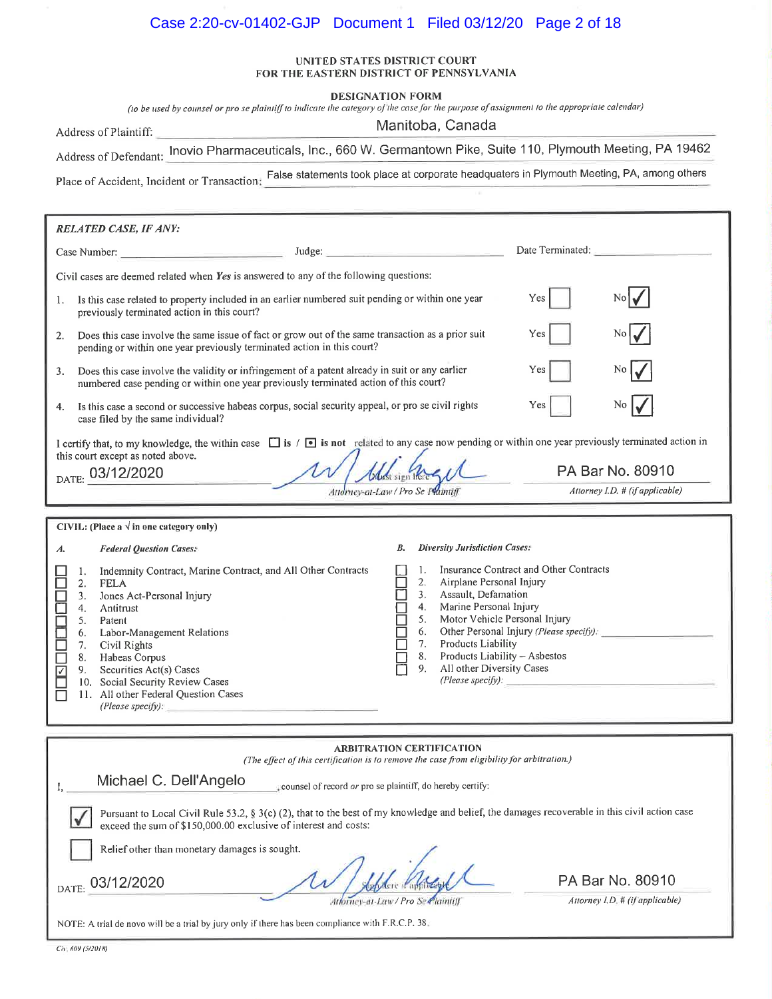# Case 2:20-cv-01402-GJP Document 1 Filed 03/12/20 Page 2 of 18

#### UNITED STATES DISTRICT COURT FOR THE EASTERN DISTRICT OF PENNSYLVANIA

**DESIGNATION FORM** 

(to be used by counsel or pro se plaintiff to indicate the category of the case for the purpose of assignment to the appropriate calendar)

Address of Plaintiff:

Manitoba, Canada

Address of Defendant: Inovio Pharmaceuticals, Inc., 660 W. Germantown Pike, Suite 110, Plymouth Meeting, PA 19462

Place of Accident, Incident or Transaction: False statements took place at corporate headquaters in Plymouth Meeting, PA, among others

|                                                                                                                                                                                                                                                                                                                                                                                                                                                        | <b>RELATED CASE, IF ANY:</b>                                                                                                                                                                                                                                                                                                                                                                                       |                                                                                                          |                                 |                                                    |                                                                                                                                                                                                |                                                             |                                 |
|--------------------------------------------------------------------------------------------------------------------------------------------------------------------------------------------------------------------------------------------------------------------------------------------------------------------------------------------------------------------------------------------------------------------------------------------------------|--------------------------------------------------------------------------------------------------------------------------------------------------------------------------------------------------------------------------------------------------------------------------------------------------------------------------------------------------------------------------------------------------------------------|----------------------------------------------------------------------------------------------------------|---------------------------------|----------------------------------------------------|------------------------------------------------------------------------------------------------------------------------------------------------------------------------------------------------|-------------------------------------------------------------|---------------------------------|
|                                                                                                                                                                                                                                                                                                                                                                                                                                                        | Case Number:                                                                                                                                                                                                                                                                                                                                                                                                       | Judge:                                                                                                   |                                 |                                                    | <u> 1980 - Jan Alemania (h. 1980).</u><br>1900 - Jan Alexandria (h. 1900).                                                                                                                     | Date Terminated:                                            |                                 |
|                                                                                                                                                                                                                                                                                                                                                                                                                                                        | Civil cases are deemed related when Yes is answered to any of the following questions:                                                                                                                                                                                                                                                                                                                             |                                                                                                          |                                 |                                                    |                                                                                                                                                                                                |                                                             |                                 |
| 1.                                                                                                                                                                                                                                                                                                                                                                                                                                                     | Is this case related to property included in an earlier numbered suit pending or within one year<br>Yes<br>previously terminated action in this court?                                                                                                                                                                                                                                                             |                                                                                                          |                                 |                                                    |                                                                                                                                                                                                |                                                             |                                 |
| 2.                                                                                                                                                                                                                                                                                                                                                                                                                                                     | pending or within one year previously terminated action in this court?                                                                                                                                                                                                                                                                                                                                             | Does this case involve the same issue of fact or grow out of the same transaction as a prior suit<br>Yes |                                 |                                                    |                                                                                                                                                                                                |                                                             |                                 |
| 3.                                                                                                                                                                                                                                                                                                                                                                                                                                                     | Does this case involve the validity or infringement of a patent already in suit or any earlier<br>numbered case pending or within one year previously terminated action of this court?                                                                                                                                                                                                                             |                                                                                                          |                                 |                                                    |                                                                                                                                                                                                | Yes                                                         |                                 |
| 4.                                                                                                                                                                                                                                                                                                                                                                                                                                                     | Is this case a second or successive habeas corpus, social security appeal, or pro se civil rights<br>case filed by the same individual?                                                                                                                                                                                                                                                                            |                                                                                                          |                                 |                                                    |                                                                                                                                                                                                | Yes                                                         | No.                             |
|                                                                                                                                                                                                                                                                                                                                                                                                                                                        | I certify that, to my knowledge, the within case $\Box$ is / $\Box$ is not related to any case now pending or within one year previously terminated action in                                                                                                                                                                                                                                                      |                                                                                                          |                                 |                                                    |                                                                                                                                                                                                |                                                             |                                 |
|                                                                                                                                                                                                                                                                                                                                                                                                                                                        | this court except as noted above.<br>DATE: 03/12/2020                                                                                                                                                                                                                                                                                                                                                              |                                                                                                          | <b><i>Counst sign Inere</i></b> |                                                    |                                                                                                                                                                                                |                                                             | PA Bar No. 80910                |
|                                                                                                                                                                                                                                                                                                                                                                                                                                                        |                                                                                                                                                                                                                                                                                                                                                                                                                    | Attorney-at-Law / Pro Se Phintiff                                                                        |                                 |                                                    |                                                                                                                                                                                                |                                                             | Attorney I.D. # (if applicable) |
|                                                                                                                                                                                                                                                                                                                                                                                                                                                        | CIVIL: (Place a $\sqrt{ }$ in one category only)                                                                                                                                                                                                                                                                                                                                                                   |                                                                                                          |                                 |                                                    |                                                                                                                                                                                                |                                                             |                                 |
|                                                                                                                                                                                                                                                                                                                                                                                                                                                        |                                                                                                                                                                                                                                                                                                                                                                                                                    |                                                                                                          | В.                              |                                                    | <b>Diversity Jurisdiction Cases:</b>                                                                                                                                                           |                                                             |                                 |
| А.<br>Ē                                                                                                                                                                                                                                                                                                                                                                                                                                                | <b>Federal Question Cases:</b><br>Indemnity Contract, Marine Contract, and All Other Contracts<br>1.<br>2.<br><b>FELA</b><br>Jones Act-Personal Injury<br>3.<br>4.<br>Antitrust<br>5.<br>Patent<br>Labor-Management Relations<br>6.<br>Civil Rights<br>7.<br>8.<br>Habeas Corpus<br>Securities Act(s) Cases<br>9.<br>10. Social Security Review Cases<br>11. All other Federal Question Cases<br>(Please specify): |                                                                                                          |                                 | 1.<br>2.<br>3.<br>4.<br>5.<br>6.<br>7.<br>8.<br>9. | Airplane Personal Injury<br>Assault, Defamation<br>Marine Personal Injury<br>Motor Vehicle Personal Injury<br>Products Liability<br>Products Liability - Asbestos<br>All other Diversity Cases | Insurance Contract and Other Contracts<br>(Please specify): |                                 |
|                                                                                                                                                                                                                                                                                                                                                                                                                                                        |                                                                                                                                                                                                                                                                                                                                                                                                                    | <b>ARBITRATION CERTIFICATION</b>                                                                         |                                 |                                                    |                                                                                                                                                                                                |                                                             |                                 |
| (The effect of this certification is to remove the case from eligibility for arbitration.)<br>Michael C. Dell'Angelo<br>counsel of record or pro se plaintiff, do hereby certify:<br>Pursuant to Local Civil Rule 53.2, § 3(c) (2), that to the best of my knowledge and belief, the damages recoverable in this civil action case<br>exceed the sum of \$150,000.00 exclusive of interest and costs:<br>Relief other than monetary damages is sought. |                                                                                                                                                                                                                                                                                                                                                                                                                    |                                                                                                          |                                 |                                                    |                                                                                                                                                                                                |                                                             |                                 |
|                                                                                                                                                                                                                                                                                                                                                                                                                                                        | PA Bar No. 80910<br>)3/12/2020<br><b>DATE</b><br>Attorney I.D. # (if applicable)<br>Attorney-at-Law / Pro Se Plaintiff                                                                                                                                                                                                                                                                                             |                                                                                                          |                                 |                                                    |                                                                                                                                                                                                |                                                             |                                 |
|                                                                                                                                                                                                                                                                                                                                                                                                                                                        | NOTE: A trial de novo will be a trial by jury only if there has been compliance with F.R.C.P. 38.                                                                                                                                                                                                                                                                                                                  |                                                                                                          |                                 |                                                    |                                                                                                                                                                                                |                                                             |                                 |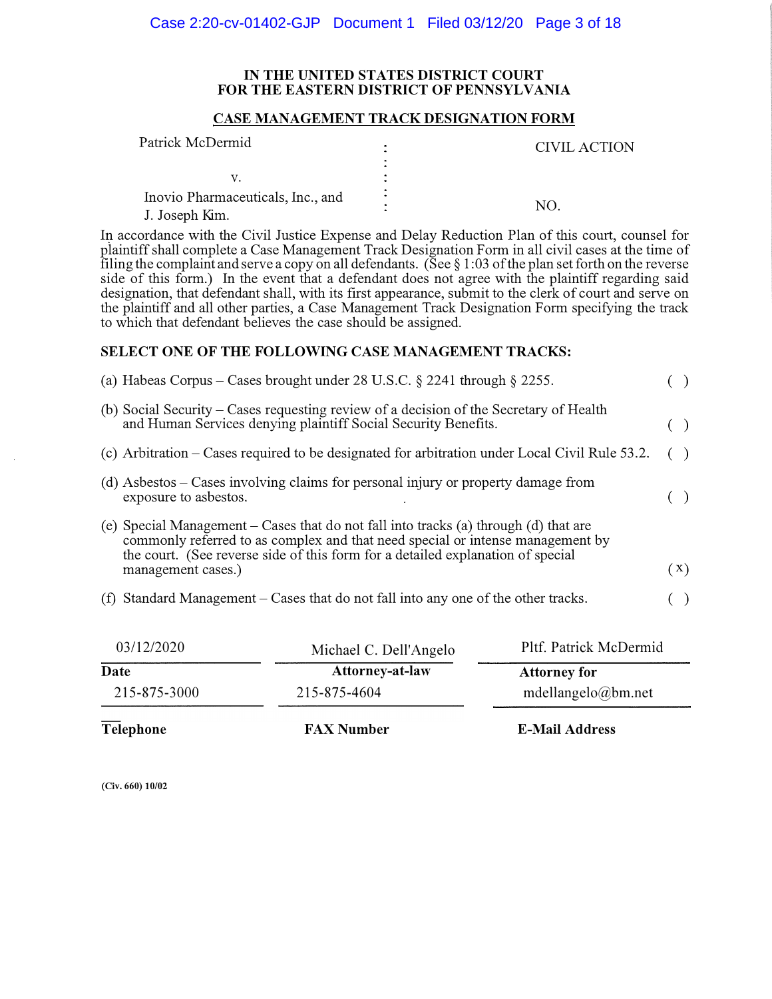#### **IN THE UNITED STATES DISTRICT COURT FOR THE EASTERN DISTRICT OF PENNSYLVANIA**

#### **CASE MANAGEMENT TRACK DESIGNATION FORM**

| Patrick McDermid                                    | CIVIL ACTION |
|-----------------------------------------------------|--------------|
|                                                     |              |
| Inovio Pharmaceuticals, Inc., and<br>J. Joseph Kim. | NΩ           |

In accordance with the Civil Justice Expense and Delay Reduction Plan of this court, counsel for plaintiff shall complete a Case Management Track Designation Form in all civil cases at the time of filing the complaint and serve a copy on all defendants. (See  $\S$  1:03 of the plan set forth on the reverse side of this form.) In the event that a defendant does not agree with the plaintiff regarding said designation, that defendant shall, with its first appearance, submit to the clerk of court and serve on the plaintiff and all other parties, a Case Management Track Designation Form specifying the track to which that defendant believes the case should be assigned.

### **SELECT ONE OF THE FOLLOWING CASE MANAGEMENT TRACKS:**

| (a) Habeas Corpus – Cases brought under 28 U.S.C. $\S$ 2241 through $\S$ 2255.                                                                                                                                                                                                  |     |
|---------------------------------------------------------------------------------------------------------------------------------------------------------------------------------------------------------------------------------------------------------------------------------|-----|
| (b) Social Security – Cases requesting review of a decision of the Secretary of Health<br>and Human Services denying plaintiff Social Security Benefits.                                                                                                                        | ( ) |
| (c) Arbitration – Cases required to be designated for arbitration under Local Civil Rule 53.2.                                                                                                                                                                                  |     |
| (d) Asbestos – Cases involving claims for personal injury or property damage from<br>exposure to asbestos.                                                                                                                                                                      |     |
| (e) Special Management – Cases that do not fall into tracks (a) through (d) that are<br>commonly referred to as complex and that need special or intense management by<br>the court. (See reverse side of this form for a detailed explanation of special<br>management cases.) | (X) |
| (f) Standard Management – Cases that do not fall into any one of the other tracks.                                                                                                                                                                                              |     |
|                                                                                                                                                                                                                                                                                 |     |

| 03/12/2020   | Michael C. Dell'Angelo | Pltf. Patrick McDermid |
|--------------|------------------------|------------------------|
| Date         | <b>Attorney-at-law</b> | <b>Attorney for</b>    |
| 215-875-3000 | 215-875-4604           | mdellangelo@bm.net     |
| Telephone    | <b>FAX Number</b>      | <b>E-Mail Address</b>  |

**(Civ. 660) 10/02**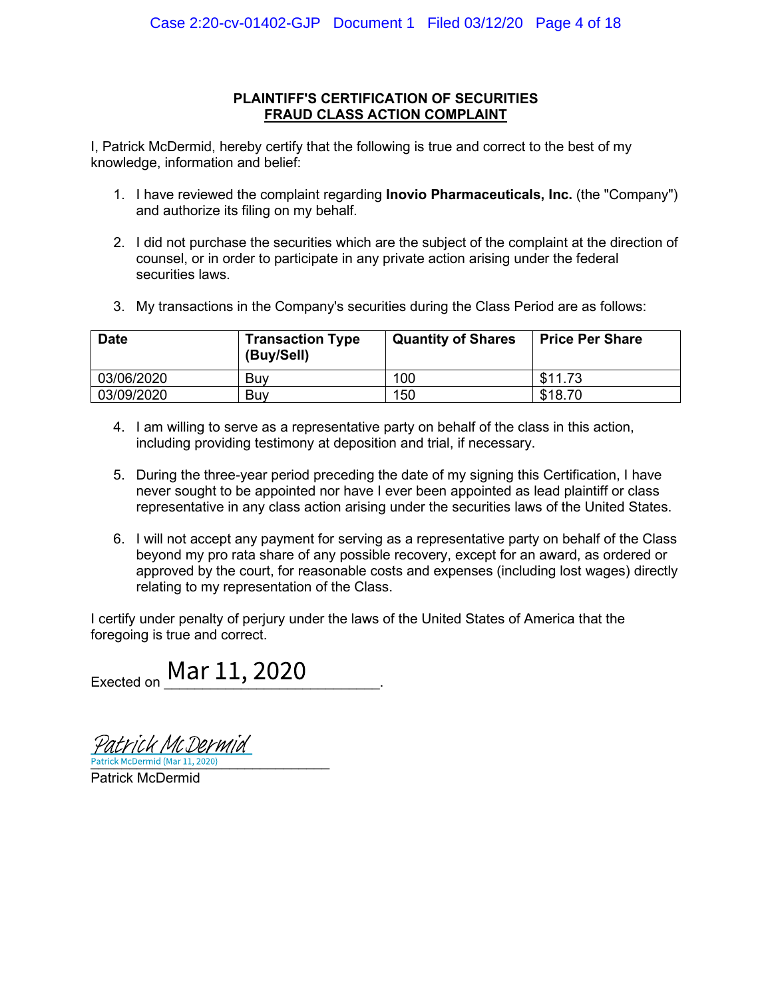### **PLAINTIFF'S CERTIFICATION OF SECURITIES** FRAUD CLASS ACTION COMPLAINT

I. Patrick McDermid, hereby certify that the following is true and correct to the best of my knowledge, information and belief:

- 1. I have reviewed the complaint regarding **Inovio Pharmaceuticals, Inc.** (the "Company") and authorize its filing on my behalf.
- 2. I did not purchase the securities which are the subject of the complaint at the direction of counsel, or in order to participate in any private action arising under the federal securities laws
- 3. My transactions in the Company's securities during the Class Period are as follows:

| <b>Date</b> | <b>Transaction Type</b><br>(Buy/Sell) | <b>Quantity of Shares</b> | <b>Price Per Share</b> |
|-------------|---------------------------------------|---------------------------|------------------------|
| 03/06/2020  | Buv                                   | 100                       | \$11.73                |
| 03/09/2020  | Buv                                   | 150                       | \$18.70                |

- 4. I am willing to serve as a representative party on behalf of the class in this action, including providing testimony at deposition and trial, if necessary.
- 5. During the three-year period preceding the date of my signing this Certification, I have never sought to be appointed nor have I ever been appointed as lead plaintiff or class representative in any class action arising under the securities laws of the United States.
- 6. I will not accept any payment for serving as a representative party on behalf of the Class beyond my pro rata share of any possible recovery, except for an award, as ordered or approved by the court, for reasonable costs and expenses (including lost wages) directly relating to my representation of the Class.

I certify under penalty of perjury under the laws of the United States of America that the foregoing is true and correct.

Exected on Mar 11, 2020

rick McDermid Patrick McDermid (Mar 11, 2020)

**Patrick McDermid**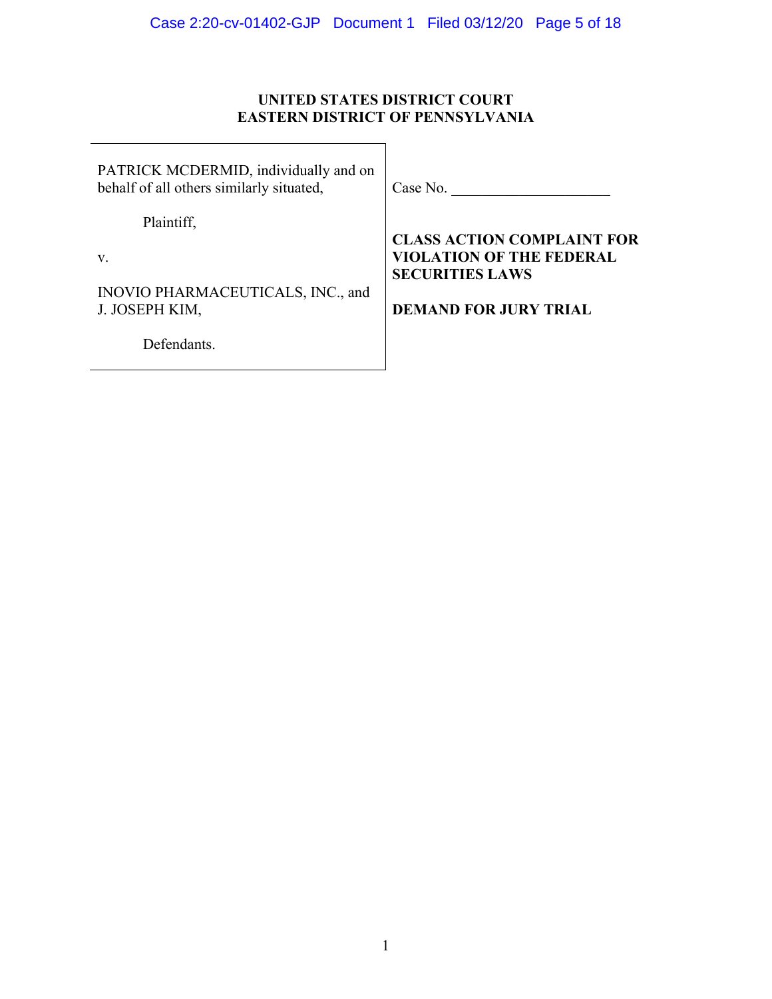# **UNITED STATES DISTRICT COURT EASTERN DISTRICT OF PENNSYLVANIA**

| PATRICK MCDERMID, individually and on<br>behalf of all others similarly situated, | Case No.                                                             |
|-----------------------------------------------------------------------------------|----------------------------------------------------------------------|
| Plaintiff,                                                                        |                                                                      |
| v.                                                                                | <b>CLASS ACTION COMPLAINT FOR</b><br><b>VIOLATION OF THE FEDERAL</b> |
|                                                                                   | <b>SECURITIES LAWS</b>                                               |
| INOVIO PHARMACEUTICALS, INC., and                                                 |                                                                      |
| J. JOSEPH KIM,                                                                    | <b>DEMAND FOR JURY TRIAL</b>                                         |
| Defendants.                                                                       |                                                                      |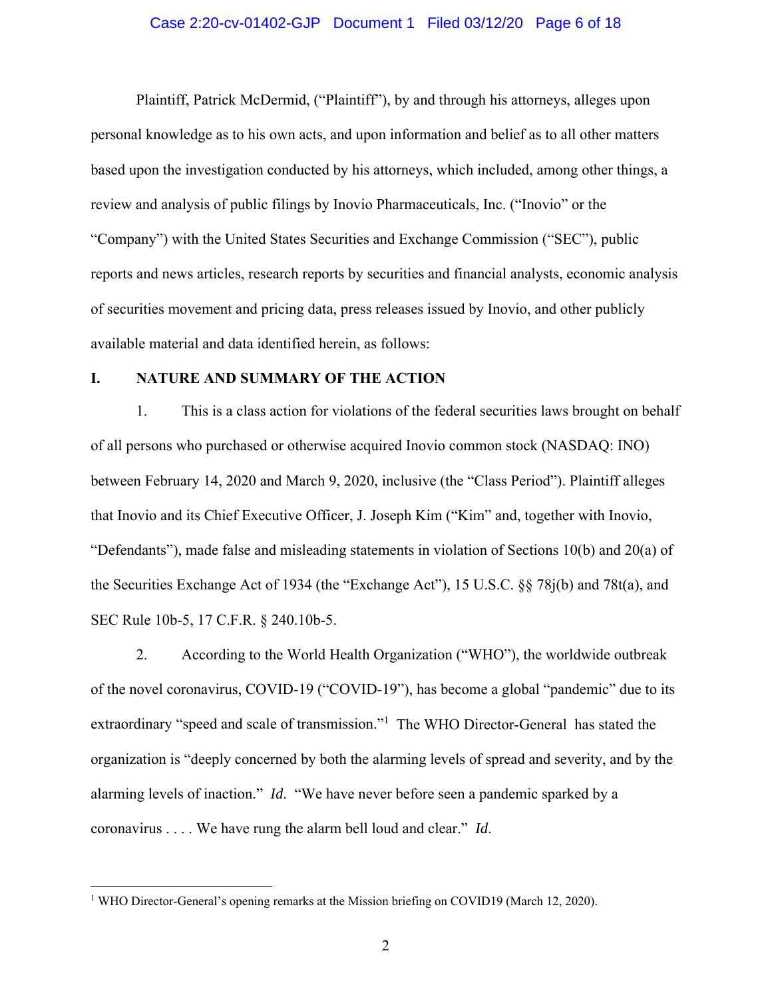### Case 2:20-cv-01402-GJP Document 1 Filed 03/12/20 Page 6 of 18

Plaintiff, Patrick McDermid, ("Plaintiff"), by and through his attorneys, alleges upon personal knowledge as to his own acts, and upon information and belief as to all other matters based upon the investigation conducted by his attorneys, which included, among other things, a review and analysis of public filings by Inovio Pharmaceuticals, Inc. ("Inovio" or the "Company") with the United States Securities and Exchange Commission ("SEC"), public reports and news articles, research reports by securities and financial analysts, economic analysis of securities movement and pricing data, press releases issued by Inovio, and other publicly available material and data identified herein, as follows:

### **I. NATURE AND SUMMARY OF THE ACTION**

1. This is a class action for violations of the federal securities laws brought on behalf of all persons who purchased or otherwise acquired Inovio common stock (NASDAQ: INO) between February 14, 2020 and March 9, 2020, inclusive (the "Class Period"). Plaintiff alleges that Inovio and its Chief Executive Officer, J. Joseph Kim ("Kim" and, together with Inovio, "Defendants"), made false and misleading statements in violation of Sections 10(b) and 20(a) of the Securities Exchange Act of 1934 (the "Exchange Act"), 15 U.S.C. §§ 78j(b) and 78t(a), and SEC Rule 10b-5, 17 C.F.R. § 240.10b-5.

2. According to the World Health Organization ("WHO"), the worldwide outbreak of the novel coronavirus, COVID-19 ("COVID-19"), has become a global "pandemic" due to its extraordinary "speed and scale of transmission."<sup>1</sup> The WHO Director-General has stated the organization is "deeply concerned by both the alarming levels of spread and severity, and by the alarming levels of inaction." *Id*. "We have never before seen a pandemic sparked by a coronavirus . . . . We have rung the alarm bell loud and clear." *Id*.

<sup>&</sup>lt;sup>1</sup> WHO Director-General's opening remarks at the Mission briefing on COVID19 (March 12, 2020).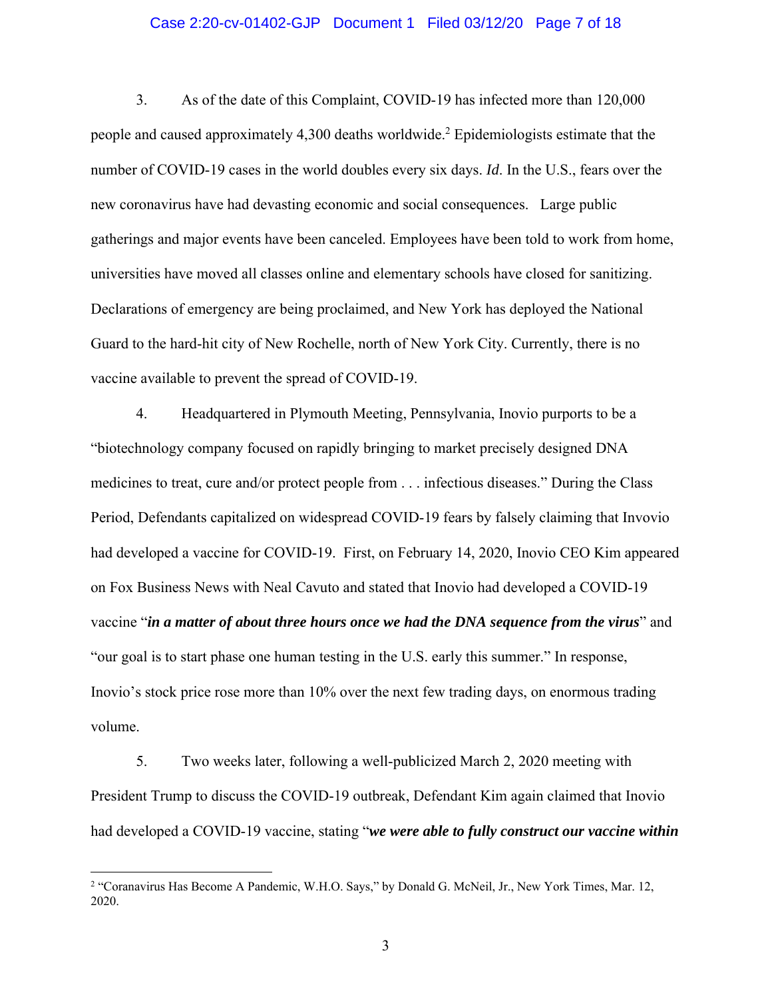### Case 2:20-cv-01402-GJP Document 1 Filed 03/12/20 Page 7 of 18

3. As of the date of this Complaint, COVID-19 has infected more than 120,000 people and caused approximately 4,300 deaths worldwide.<sup>2</sup> Epidemiologists estimate that the number of COVID-19 cases in the world doubles every six days. *Id*. In the U.S., fears over the new coronavirus have had devasting economic and social consequences. Large public gatherings and major events have been canceled. Employees have been told to work from home, universities have moved all classes online and elementary schools have closed for sanitizing. Declarations of emergency are being proclaimed, and New York has deployed the National Guard to the hard-hit city of New Rochelle, north of New York City. Currently, there is no vaccine available to prevent the spread of COVID-19.

4. Headquartered in Plymouth Meeting, Pennsylvania, Inovio purports to be a "biotechnology company focused on rapidly bringing to market precisely designed DNA medicines to treat, cure and/or protect people from . . . infectious diseases." During the Class Period, Defendants capitalized on widespread COVID-19 fears by falsely claiming that Invovio had developed a vaccine for COVID-19. First, on February 14, 2020, Inovio CEO Kim appeared on Fox Business News with Neal Cavuto and stated that Inovio had developed a COVID-19 vaccine "*in a matter of about three hours once we had the DNA sequence from the virus*" and "our goal is to start phase one human testing in the U.S. early this summer." In response, Inovio's stock price rose more than 10% over the next few trading days, on enormous trading volume.

5. Two weeks later, following a well-publicized March 2, 2020 meeting with President Trump to discuss the COVID-19 outbreak, Defendant Kim again claimed that Inovio had developed a COVID-19 vaccine, stating "*we were able to fully construct our vaccine within* 

<sup>2</sup> "Coranavirus Has Become A Pandemic, W.H.O. Says," by Donald G. McNeil, Jr., New York Times, Mar. 12, 2020.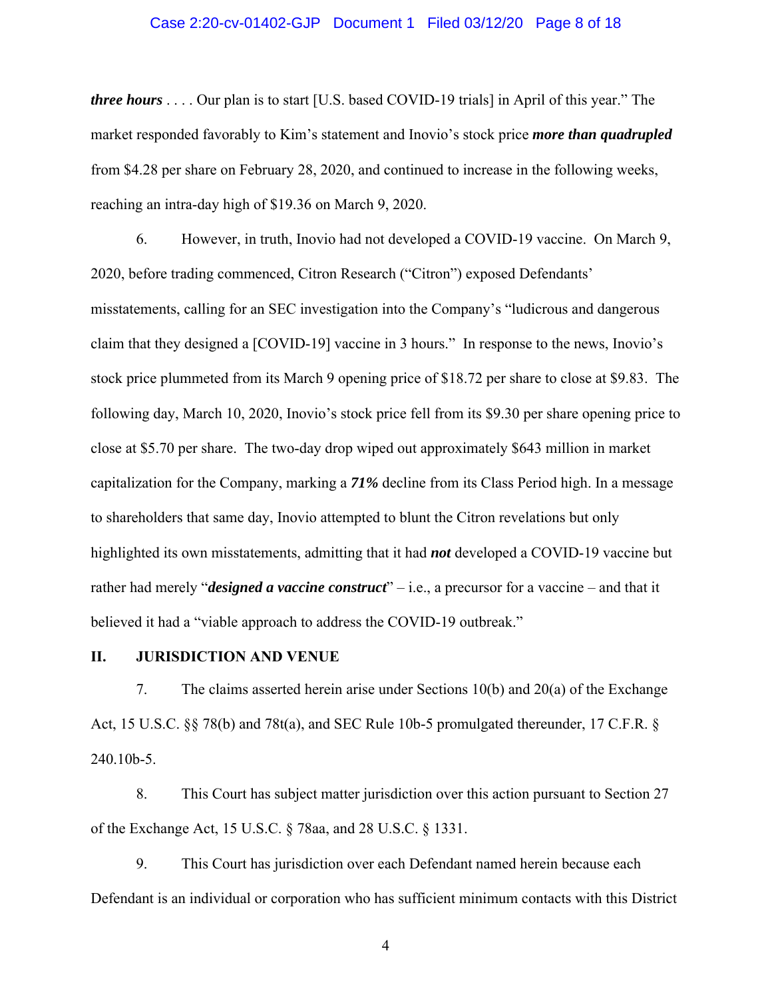### Case 2:20-cv-01402-GJP Document 1 Filed 03/12/20 Page 8 of 18

*three hours* . . . . Our plan is to start [U.S. based COVID-19 trials] in April of this year." The market responded favorably to Kim's statement and Inovio's stock price *more than quadrupled* from \$4.28 per share on February 28, 2020, and continued to increase in the following weeks, reaching an intra-day high of \$19.36 on March 9, 2020.

6. However, in truth, Inovio had not developed a COVID-19 vaccine. On March 9, 2020, before trading commenced, Citron Research ("Citron") exposed Defendants' misstatements, calling for an SEC investigation into the Company's "ludicrous and dangerous claim that they designed a [COVID-19] vaccine in 3 hours." In response to the news, Inovio's stock price plummeted from its March 9 opening price of \$18.72 per share to close at \$9.83. The following day, March 10, 2020, Inovio's stock price fell from its \$9.30 per share opening price to close at \$5.70 per share. The two-day drop wiped out approximately \$643 million in market capitalization for the Company, marking a *71%* decline from its Class Period high. In a message to shareholders that same day, Inovio attempted to blunt the Citron revelations but only highlighted its own misstatements, admitting that it had *not* developed a COVID-19 vaccine but rather had merely "*designed a vaccine construct*" – i.e., a precursor for a vaccine – and that it believed it had a "viable approach to address the COVID-19 outbreak."

#### **II. JURISDICTION AND VENUE**

7. The claims asserted herein arise under Sections 10(b) and 20(a) of the Exchange Act, 15 U.S.C. §§ 78(b) and 78t(a), and SEC Rule 10b-5 promulgated thereunder, 17 C.F.R. § 240.10b-5.

8. This Court has subject matter jurisdiction over this action pursuant to Section 27 of the Exchange Act, 15 U.S.C. § 78aa, and 28 U.S.C. § 1331.

9. This Court has jurisdiction over each Defendant named herein because each Defendant is an individual or corporation who has sufficient minimum contacts with this District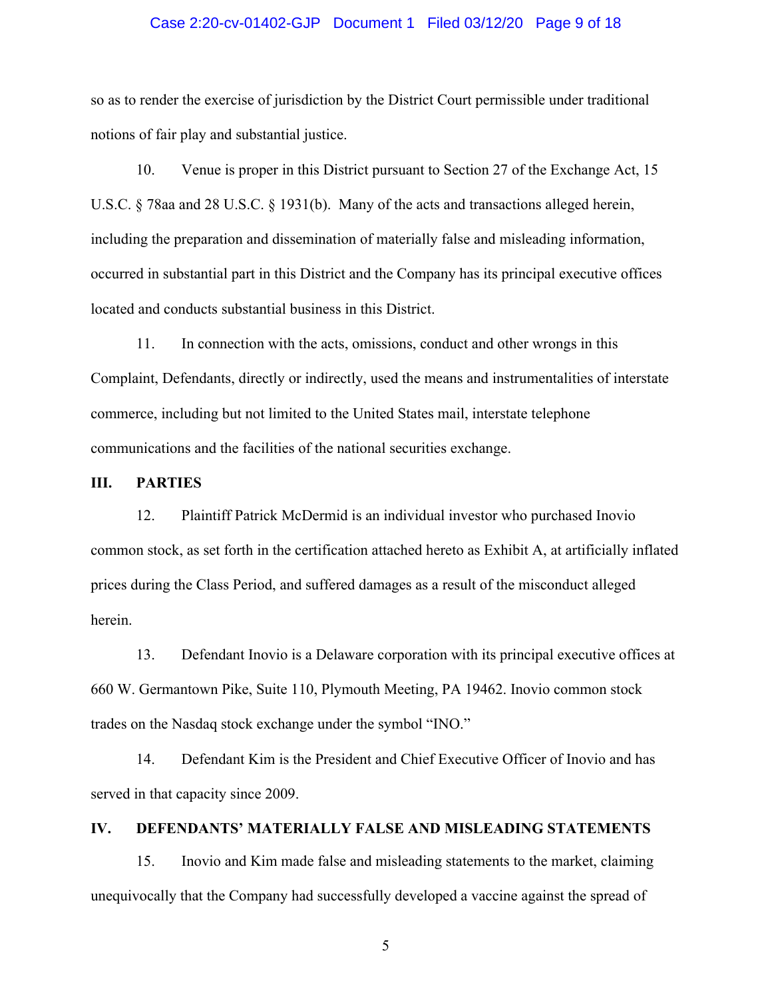### Case 2:20-cv-01402-GJP Document 1 Filed 03/12/20 Page 9 of 18

so as to render the exercise of jurisdiction by the District Court permissible under traditional notions of fair play and substantial justice.

10. Venue is proper in this District pursuant to Section 27 of the Exchange Act, 15 U.S.C. § 78aa and 28 U.S.C. § 1931(b). Many of the acts and transactions alleged herein, including the preparation and dissemination of materially false and misleading information, occurred in substantial part in this District and the Company has its principal executive offices located and conducts substantial business in this District.

11. In connection with the acts, omissions, conduct and other wrongs in this Complaint, Defendants, directly or indirectly, used the means and instrumentalities of interstate commerce, including but not limited to the United States mail, interstate telephone communications and the facilities of the national securities exchange.

### **III. PARTIES**

12. Plaintiff Patrick McDermid is an individual investor who purchased Inovio common stock, as set forth in the certification attached hereto as Exhibit A, at artificially inflated prices during the Class Period, and suffered damages as a result of the misconduct alleged herein.

13. Defendant Inovio is a Delaware corporation with its principal executive offices at 660 W. Germantown Pike, Suite 110, Plymouth Meeting, PA 19462. Inovio common stock trades on the Nasdaq stock exchange under the symbol "INO."

14. Defendant Kim is the President and Chief Executive Officer of Inovio and has served in that capacity since 2009.

### **IV. DEFENDANTS' MATERIALLY FALSE AND MISLEADING STATEMENTS**

15. Inovio and Kim made false and misleading statements to the market, claiming unequivocally that the Company had successfully developed a vaccine against the spread of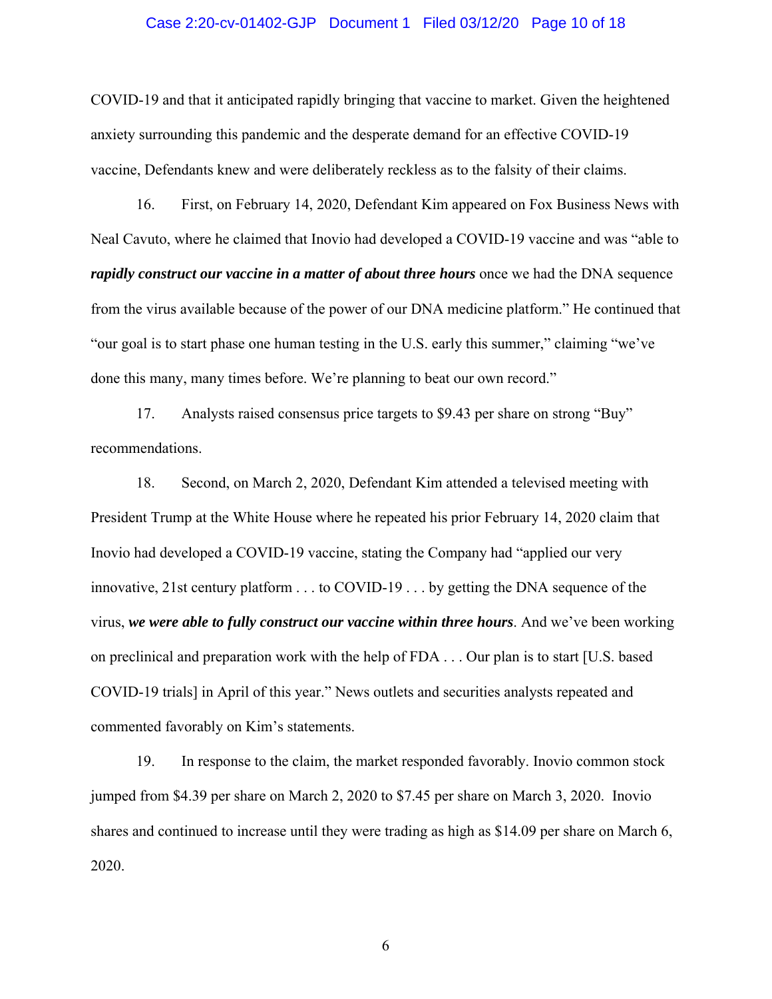### Case 2:20-cv-01402-GJP Document 1 Filed 03/12/20 Page 10 of 18

COVID-19 and that it anticipated rapidly bringing that vaccine to market. Given the heightened anxiety surrounding this pandemic and the desperate demand for an effective COVID-19 vaccine, Defendants knew and were deliberately reckless as to the falsity of their claims.

16. First, on February 14, 2020, Defendant Kim appeared on Fox Business News with Neal Cavuto, where he claimed that Inovio had developed a COVID-19 vaccine and was "able to *rapidly construct our vaccine in a matter of about three hours* once we had the DNA sequence from the virus available because of the power of our DNA medicine platform." He continued that "our goal is to start phase one human testing in the U.S. early this summer," claiming "we've done this many, many times before. We're planning to beat our own record."

17. Analysts raised consensus price targets to \$9.43 per share on strong "Buy" recommendations.

18. Second, on March 2, 2020, Defendant Kim attended a televised meeting with President Trump at the White House where he repeated his prior February 14, 2020 claim that Inovio had developed a COVID-19 vaccine, stating the Company had "applied our very innovative, 21st century platform . . . to COVID-19 . . . by getting the DNA sequence of the virus, *we were able to fully construct our vaccine within three hours*. And we've been working on preclinical and preparation work with the help of FDA . . . Our plan is to start [U.S. based COVID-19 trials] in April of this year." News outlets and securities analysts repeated and commented favorably on Kim's statements.

19. In response to the claim, the market responded favorably. Inovio common stock jumped from \$4.39 per share on March 2, 2020 to \$7.45 per share on March 3, 2020. Inovio shares and continued to increase until they were trading as high as \$14.09 per share on March 6, 2020.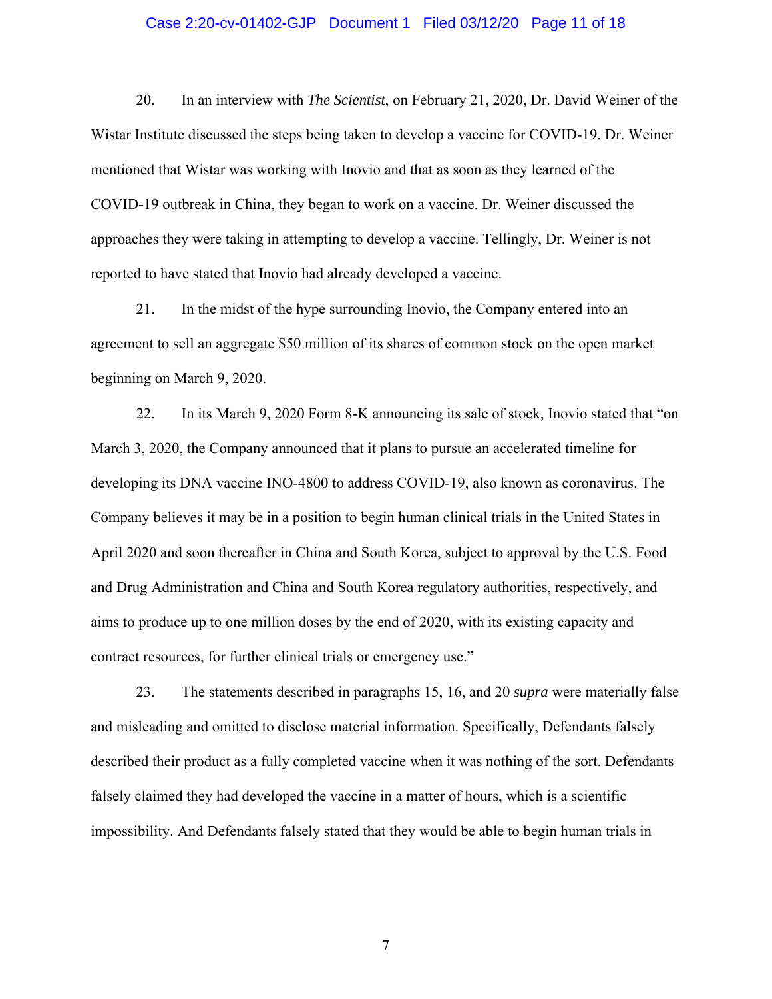### Case 2:20-cv-01402-GJP Document 1 Filed 03/12/20 Page 11 of 18

20. In an interview with *The Scientist*, on February 21, 2020, Dr. David Weiner of the Wistar Institute discussed the steps being taken to develop a vaccine for COVID-19. Dr. Weiner mentioned that Wistar was working with Inovio and that as soon as they learned of the COVID-19 outbreak in China, they began to work on a vaccine. Dr. Weiner discussed the approaches they were taking in attempting to develop a vaccine. Tellingly, Dr. Weiner is not reported to have stated that Inovio had already developed a vaccine.

21. In the midst of the hype surrounding Inovio, the Company entered into an agreement to sell an aggregate \$50 million of its shares of common stock on the open market beginning on March 9, 2020.

22. In its March 9, 2020 Form 8-K announcing its sale of stock, Inovio stated that "on March 3, 2020, the Company announced that it plans to pursue an accelerated timeline for developing its DNA vaccine INO-4800 to address COVID-19, also known as coronavirus. The Company believes it may be in a position to begin human clinical trials in the United States in April 2020 and soon thereafter in China and South Korea, subject to approval by the U.S. Food and Drug Administration and China and South Korea regulatory authorities, respectively, and aims to produce up to one million doses by the end of 2020, with its existing capacity and contract resources, for further clinical trials or emergency use."

23. The statements described in paragraphs 15, 16, and 20 *supra* were materially false and misleading and omitted to disclose material information. Specifically, Defendants falsely described their product as a fully completed vaccine when it was nothing of the sort. Defendants falsely claimed they had developed the vaccine in a matter of hours, which is a scientific impossibility. And Defendants falsely stated that they would be able to begin human trials in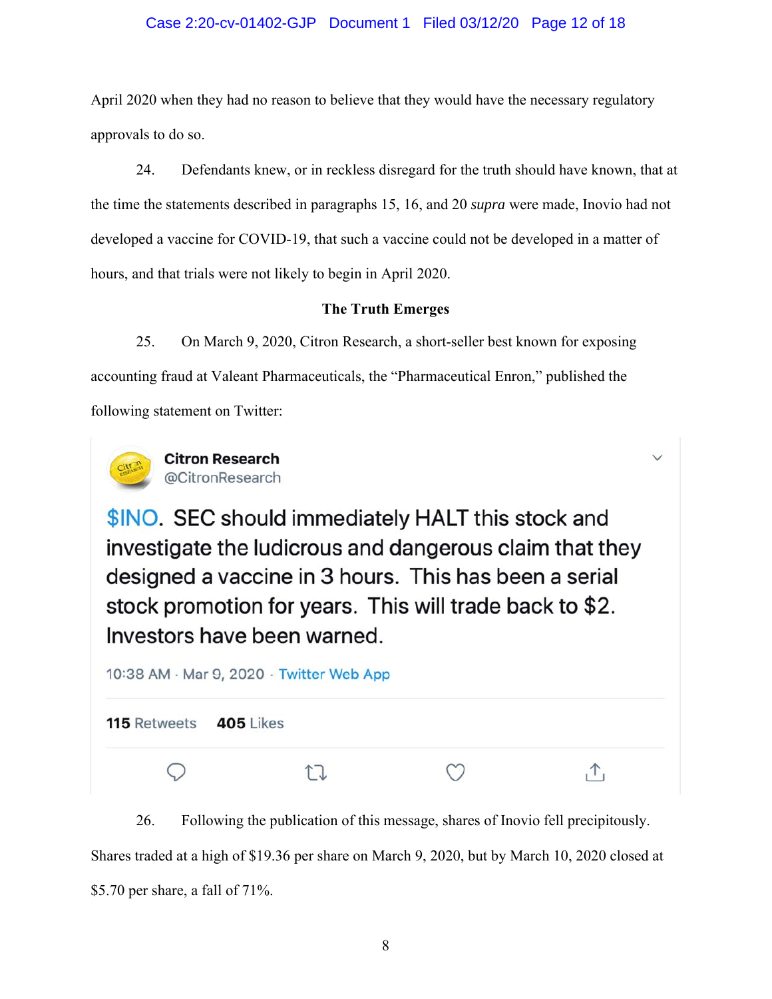### Case 2:20-cv-01402-GJP Document 1 Filed 03/12/20 Page 12 of 18

April 2020 when they had no reason to believe that they would have the necessary regulatory approvals to do so.

24. Defendants knew, or in reckless disregard for the truth should have known, that at the time the statements described in paragraphs 15, 16, and 20 *supra* were made, Inovio had not developed a vaccine for COVID-19, that such a vaccine could not be developed in a matter of hours, and that trials were not likely to begin in April 2020.

## **The Truth Emerges**

25. On March 9, 2020, Citron Research, a short-seller best known for exposing accounting fraud at Valeant Pharmaceuticals, the "Pharmaceutical Enron," published the following statement on Twitter:



**Citron Research** @CitronResearch

\$INO. SEC should immediately HALT this stock and investigate the ludicrous and dangerous claim that they designed a vaccine in 3 hours. This has been a serial stock promotion for years. This will trade back to \$2. Investors have been warned.

| 10:38 AM · Mar 9, 2020 · Twitter Web App |  |  |  |  |  |
|------------------------------------------|--|--|--|--|--|
| <b>115 Retweets 405 Likes</b>            |  |  |  |  |  |
|                                          |  |  |  |  |  |

26. Following the publication of this message, shares of Inovio fell precipitously. Shares traded at a high of \$19.36 per share on March 9, 2020, but by March 10, 2020 closed at \$5.70 per share, a fall of 71%.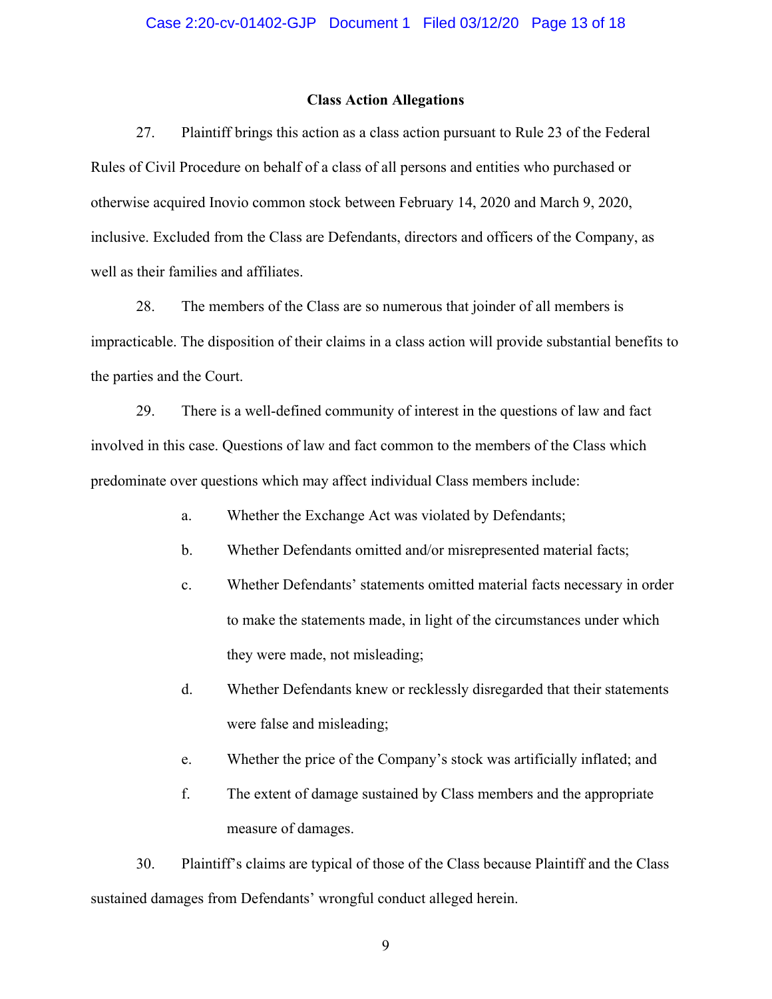### **Class Action Allegations**

27. Plaintiff brings this action as a class action pursuant to Rule 23 of the Federal Rules of Civil Procedure on behalf of a class of all persons and entities who purchased or otherwise acquired Inovio common stock between February 14, 2020 and March 9, 2020, inclusive. Excluded from the Class are Defendants, directors and officers of the Company, as well as their families and affiliates.

28. The members of the Class are so numerous that joinder of all members is impracticable. The disposition of their claims in a class action will provide substantial benefits to the parties and the Court.

29. There is a well-defined community of interest in the questions of law and fact involved in this case. Questions of law and fact common to the members of the Class which predominate over questions which may affect individual Class members include:

- a. Whether the Exchange Act was violated by Defendants;
- b. Whether Defendants omitted and/or misrepresented material facts;
- c. Whether Defendants' statements omitted material facts necessary in order to make the statements made, in light of the circumstances under which they were made, not misleading;
- d. Whether Defendants knew or recklessly disregarded that their statements were false and misleading;
- e. Whether the price of the Company's stock was artificially inflated; and
- f. The extent of damage sustained by Class members and the appropriate measure of damages.

30. Plaintiff's claims are typical of those of the Class because Plaintiff and the Class sustained damages from Defendants' wrongful conduct alleged herein.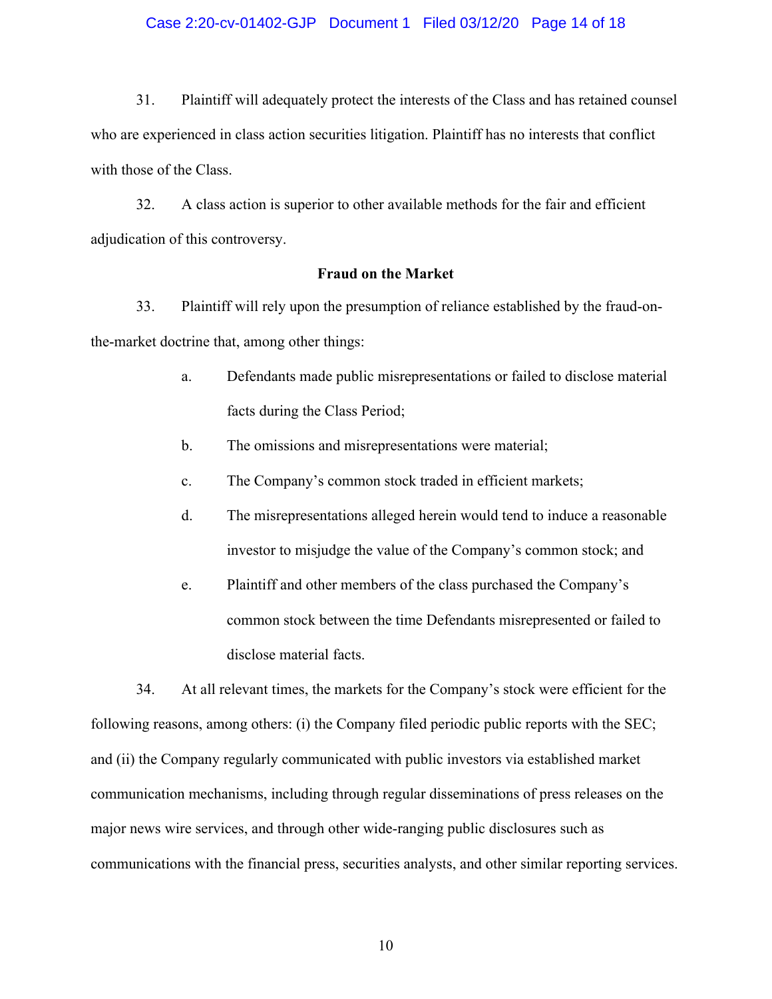### Case 2:20-cv-01402-GJP Document 1 Filed 03/12/20 Page 14 of 18

31. Plaintiff will adequately protect the interests of the Class and has retained counsel who are experienced in class action securities litigation. Plaintiff has no interests that conflict with those of the Class.

32. A class action is superior to other available methods for the fair and efficient adjudication of this controversy.

### **Fraud on the Market**

33. Plaintiff will rely upon the presumption of reliance established by the fraud-onthe-market doctrine that, among other things:

- a. Defendants made public misrepresentations or failed to disclose material facts during the Class Period;
- b. The omissions and misrepresentations were material;
- c. The Company's common stock traded in efficient markets;
- d. The misrepresentations alleged herein would tend to induce a reasonable investor to misjudge the value of the Company's common stock; and
- e. Plaintiff and other members of the class purchased the Company's common stock between the time Defendants misrepresented or failed to disclose material facts.

34. At all relevant times, the markets for the Company's stock were efficient for the following reasons, among others: (i) the Company filed periodic public reports with the SEC; and (ii) the Company regularly communicated with public investors via established market communication mechanisms, including through regular disseminations of press releases on the major news wire services, and through other wide-ranging public disclosures such as communications with the financial press, securities analysts, and other similar reporting services.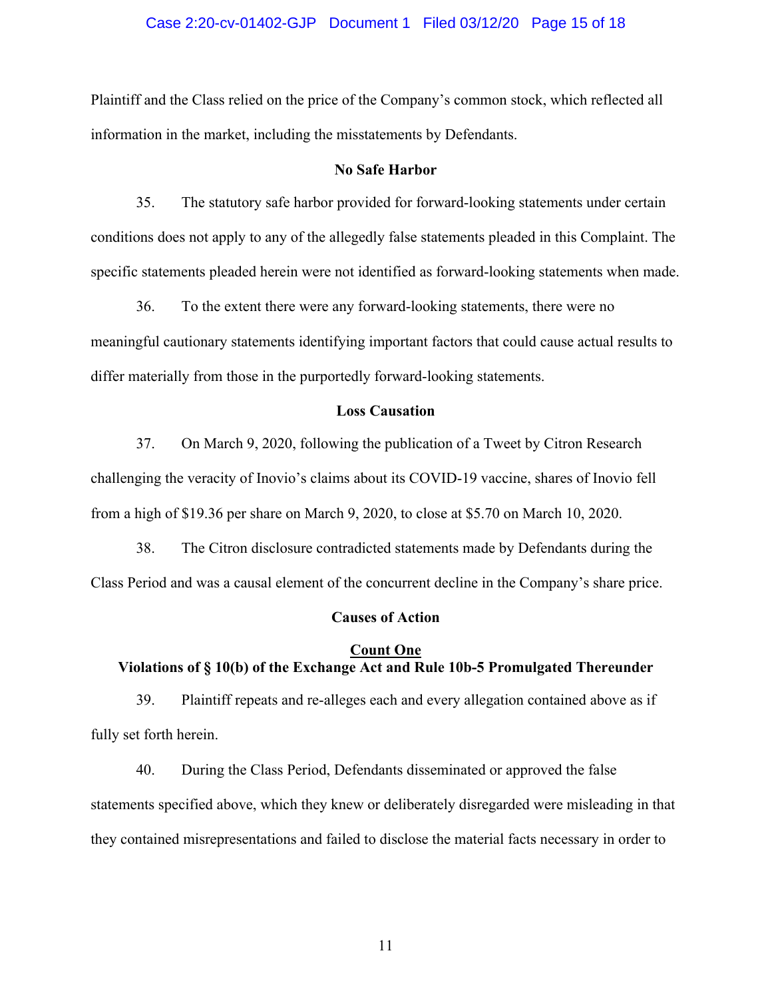## Case 2:20-cv-01402-GJP Document 1 Filed 03/12/20 Page 15 of 18

Plaintiff and the Class relied on the price of the Company's common stock, which reflected all information in the market, including the misstatements by Defendants.

#### **No Safe Harbor**

35. The statutory safe harbor provided for forward-looking statements under certain conditions does not apply to any of the allegedly false statements pleaded in this Complaint. The specific statements pleaded herein were not identified as forward-looking statements when made.

36. To the extent there were any forward-looking statements, there were no meaningful cautionary statements identifying important factors that could cause actual results to differ materially from those in the purportedly forward-looking statements.

### **Loss Causation**

37. On March 9, 2020, following the publication of a Tweet by Citron Research challenging the veracity of Inovio's claims about its COVID-19 vaccine, shares of Inovio fell from a high of \$19.36 per share on March 9, 2020, to close at \$5.70 on March 10, 2020.

38. The Citron disclosure contradicted statements made by Defendants during the Class Period and was a causal element of the concurrent decline in the Company's share price.

### **Causes of Action**

# **Count One Violations of § 10(b) of the Exchange Act and Rule 10b-5 Promulgated Thereunder**

39. Plaintiff repeats and re-alleges each and every allegation contained above as if fully set forth herein.

40. During the Class Period, Defendants disseminated or approved the false statements specified above, which they knew or deliberately disregarded were misleading in that they contained misrepresentations and failed to disclose the material facts necessary in order to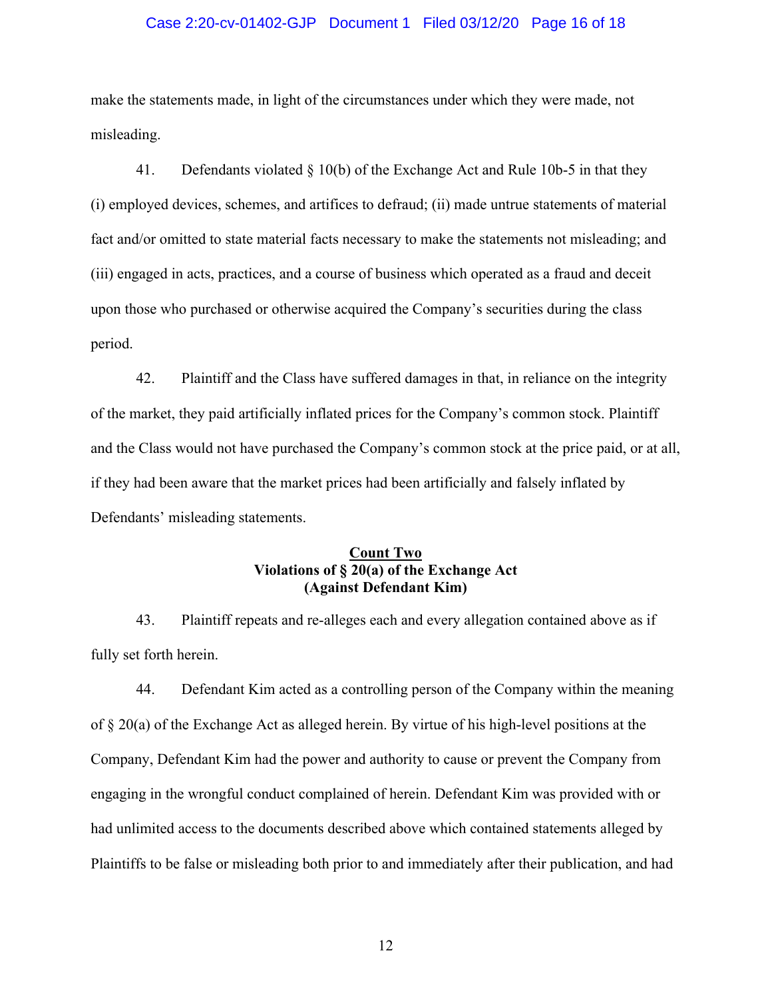### Case 2:20-cv-01402-GJP Document 1 Filed 03/12/20 Page 16 of 18

make the statements made, in light of the circumstances under which they were made, not misleading.

41. Defendants violated § 10(b) of the Exchange Act and Rule 10b-5 in that they (i) employed devices, schemes, and artifices to defraud; (ii) made untrue statements of material fact and/or omitted to state material facts necessary to make the statements not misleading; and (iii) engaged in acts, practices, and a course of business which operated as a fraud and deceit upon those who purchased or otherwise acquired the Company's securities during the class period.

42. Plaintiff and the Class have suffered damages in that, in reliance on the integrity of the market, they paid artificially inflated prices for the Company's common stock. Plaintiff and the Class would not have purchased the Company's common stock at the price paid, or at all, if they had been aware that the market prices had been artificially and falsely inflated by Defendants' misleading statements.

### **Count Two Violations of § 20(a) of the Exchange Act (Against Defendant Kim)**

43. Plaintiff repeats and re-alleges each and every allegation contained above as if fully set forth herein.

44. Defendant Kim acted as a controlling person of the Company within the meaning of § 20(a) of the Exchange Act as alleged herein. By virtue of his high-level positions at the Company, Defendant Kim had the power and authority to cause or prevent the Company from engaging in the wrongful conduct complained of herein. Defendant Kim was provided with or had unlimited access to the documents described above which contained statements alleged by Plaintiffs to be false or misleading both prior to and immediately after their publication, and had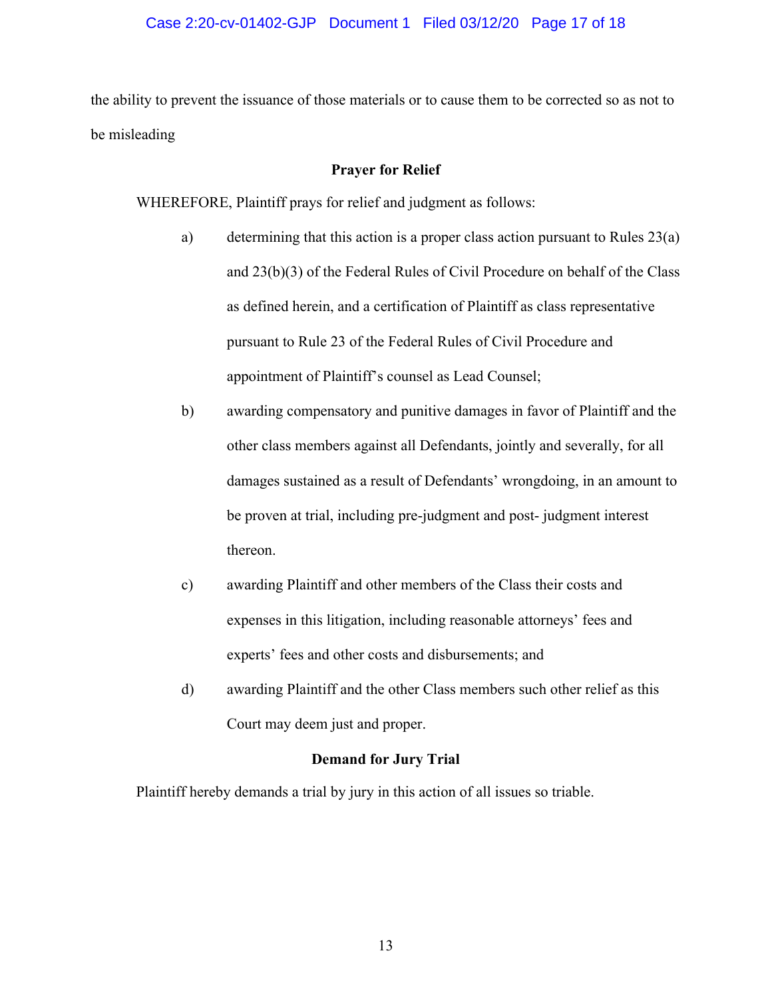## Case 2:20-cv-01402-GJP Document 1 Filed 03/12/20 Page 17 of 18

the ability to prevent the issuance of those materials or to cause them to be corrected so as not to be misleading

### **Prayer for Relief**

WHEREFORE, Plaintiff prays for relief and judgment as follows:

- a) determining that this action is a proper class action pursuant to Rules 23(a) and 23(b)(3) of the Federal Rules of Civil Procedure on behalf of the Class as defined herein, and a certification of Plaintiff as class representative pursuant to Rule 23 of the Federal Rules of Civil Procedure and appointment of Plaintiff's counsel as Lead Counsel;
- b) awarding compensatory and punitive damages in favor of Plaintiff and the other class members against all Defendants, jointly and severally, for all damages sustained as a result of Defendants' wrongdoing, in an amount to be proven at trial, including pre-judgment and post- judgment interest thereon.
- c) awarding Plaintiff and other members of the Class their costs and expenses in this litigation, including reasonable attorneys' fees and experts' fees and other costs and disbursements; and
- d) awarding Plaintiff and the other Class members such other relief as this Court may deem just and proper.

### **Demand for Jury Trial**

Plaintiff hereby demands a trial by jury in this action of all issues so triable.